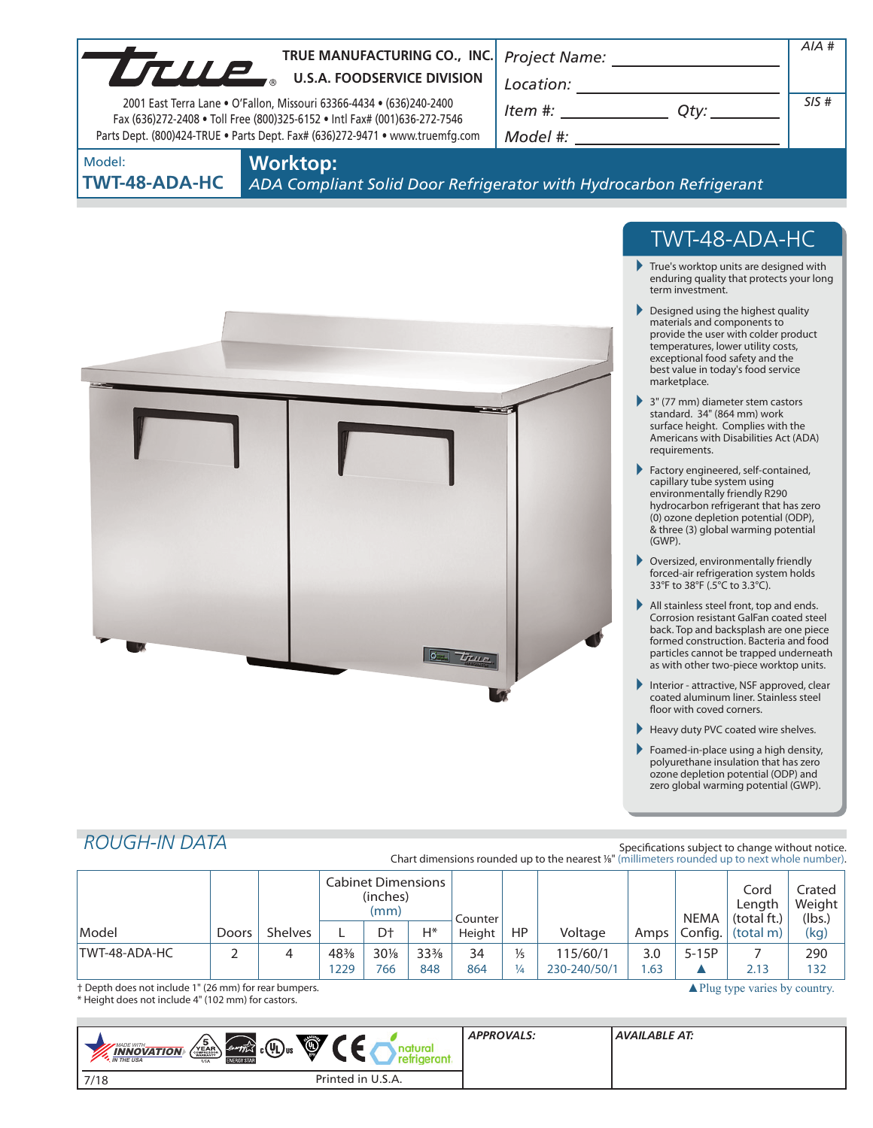| TRUE MANUFACTURING CO., INC.<br>TRUE MANUFACTURING CO., INC<br>2001 East Terra Lane . O'Fallon, Missouri 63366-4434 . (636)240-2400<br>Fax (636)272-2408 . Toll Free (800)325-6152 . Intl Fax# (001)636-272-7546<br>Parts Dept. (800)424-TRUE . Parts Dept. Fax# (636)272-9471 . www.truemfg.com | Project Name: ____<br>Location:<br>$Item #: __________ Qty: __________$<br>Model #: New York Products and American control of the Second Second Second Second Second Second Second Second Second Second Second Second Second Second Second Second Second Second Second Second Second Second Second Second                                                                                                                                                                                                                                                                         | $AIA$ #<br>SIS# |
|--------------------------------------------------------------------------------------------------------------------------------------------------------------------------------------------------------------------------------------------------------------------------------------------------|-----------------------------------------------------------------------------------------------------------------------------------------------------------------------------------------------------------------------------------------------------------------------------------------------------------------------------------------------------------------------------------------------------------------------------------------------------------------------------------------------------------------------------------------------------------------------------------|-----------------|
| <b>Worktop:</b><br>Model:<br>TWT-48-ADA-HC                                                                                                                                                                                                                                                       | ADA Compliant Solid Door Refrigerator with Hydrocarbon Refrigerant                                                                                                                                                                                                                                                                                                                                                                                                                                                                                                                |                 |
|                                                                                                                                                                                                                                                                                                  | TWT-48-ADA-HC<br>$\blacktriangleright$ True's worktop units are designed with<br>enduring quality that protects your long<br>term investment.<br>Designed using the highest quality<br>materials and components to<br>provide the user with colder product<br>temperatures, lower utility costs,<br>exceptional food safety and the<br>best value in today's food service<br>marketplace.<br>$\blacktriangleright$ 3" (77 mm) diameter stem castors<br>standard. 34" (864 mm) work<br>surface height. Complies with the<br>Americans with Disabilities Act (ADA)<br>requirements. |                 |

- Factory engineered, self-contained, capillary tube system using environmentally friendly R290 hydrocarbon refrigerant that has zero (0) ozone depletion potential (ODP), & three (3) global warming potential (GWP).
- Oversized, environmentally friendly forced-air refrigeration system holds 33°F to 38°F (.5°C to 3.3°C).
- All stainless steel front, top and ends. Corrosion resistant GalFan coated steel back. Top and backsplash are one piece formed construction. Bacteria and food particles cannot be trapped underneath as with other two-piece worktop units.
- Interior attractive, NSF approved, clear<br>coated aluminum liner. Stainless steel floor with coved corners.
- Heavy duty PVC coated wire shelves.
- Foamed-in-place using a high density, polyurethane insulation that has zero ozone depletion potential (ODP) and zero global warming potential (GWP).

# *ROUGH-IN DATA*

Specifications subject to change without notice. Chart dimensions rounded up to the nearest %" (millimeters rounded up to next whole number).

|                                                                                                   |       |                | <b>Cabinet Dimensions</b><br>(inches)<br>(mm) |        | Counter         |        |               |              | <b>NEMA</b> | Cord<br>Lenath<br>(total ft.) | Crated<br>Weight<br>(lbs.) |      |
|---------------------------------------------------------------------------------------------------|-------|----------------|-----------------------------------------------|--------|-----------------|--------|---------------|--------------|-------------|-------------------------------|----------------------------|------|
| Model                                                                                             | Doors | <b>Shelves</b> |                                               | Dt     | H*              | Height | <b>HP</b>     | Voltage      | Amps        | Confia.                       | (total m)                  | (kg) |
| TWT-48-ADA-HC                                                                                     |       | 4              | 48%                                           | $30\%$ | $33\frac{3}{8}$ | 34     | $\frac{1}{5}$ | 115/60/1     | 3.0         | $5-15P$                       |                            | 290  |
|                                                                                                   |       |                | 1229                                          | 766    | 848             | 864    | ¼             | 230-240/50/1 | .63         |                               | 2.13                       | 132  |
| † Depth does not include 1" (26 mm) for rear bumpers.<br>$\triangle$ Plug type varies by country. |       |                |                                               |        |                 |        |               |              |             |                               |                            |      |

 $\sigma$ 

True

† Depth does not include 1" (26 mm) for rear bumpers. \* Height does not include 4" (102 mm) for castors.

| <b>O</b><br>$\sqrt{\frac{5}{\text{YEAR}}}}$<br>$\left($ <i>envrfix</i> $\left( \begin{matrix} 0 \\ 0 \end{matrix} \right)$ us<br><b>WADE WITH_</b><br><b>INNOVATION</b><br><b>N</b> THE USA<br><b>ENERGY STAR</b><br><b>USA</b> | <b>APPROVALS:</b> | AVAILABLE AT: |
|---------------------------------------------------------------------------------------------------------------------------------------------------------------------------------------------------------------------------------|-------------------|---------------|
| Printed in U.S.A.<br>7/18                                                                                                                                                                                                       |                   |               |